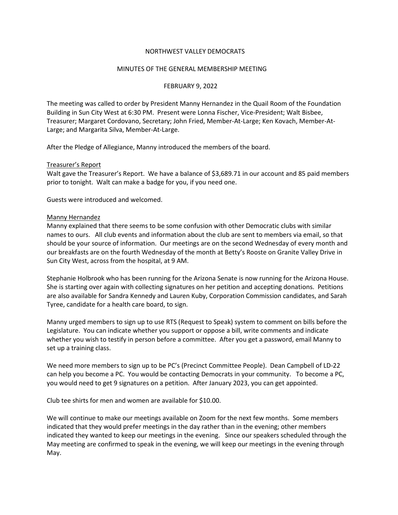### NORTHWEST VALLEY DEMOCRATS

### MINUTES OF THE GENERAL MEMBERSHIP MEETING

### FEBRUARY 9, 2022

The meeting was called to order by President Manny Hernandez in the Quail Room of the Foundation Building in Sun City West at 6:30 PM. Present were Lonna Fischer, Vice-President; Walt Bisbee, Treasurer; Margaret Cordovano, Secretary; John Fried, Member-At-Large; Ken Kovach, Member-At-Large; and Margarita Silva, Member-At-Large.

After the Pledge of Allegiance, Manny introduced the members of the board.

#### Treasurer's Report

Walt gave the Treasurer's Report. We have a balance of \$3,689.71 in our account and 85 paid members prior to tonight. Walt can make a badge for you, if you need one.

Guests were introduced and welcomed.

### Manny Hernandez

Manny explained that there seems to be some confusion with other Democratic clubs with similar names to ours. All club events and information about the club are sent to members via email, so that should be your source of information. Our meetings are on the second Wednesday of every month and our breakfasts are on the fourth Wednesday of the month at Betty's Rooste on Granite Valley Drive in Sun City West, across from the hospital, at 9 AM.

Stephanie Holbrook who has been running for the Arizona Senate is now running for the Arizona House. She is starting over again with collecting signatures on her petition and accepting donations. Petitions are also available for Sandra Kennedy and Lauren Kuby, Corporation Commission candidates, and Sarah Tyree, candidate for a health care board, to sign.

Manny urged members to sign up to use RTS (Request to Speak) system to comment on bills before the Legislature. You can indicate whether you support or oppose a bill, write comments and indicate whether you wish to testify in person before a committee. After you get a password, email Manny to set up a training class.

We need more members to sign up to be PC's (Precinct Committee People). Dean Campbell of LD-22 can help you become a PC. You would be contacting Democrats in your community. To become a PC, you would need to get 9 signatures on a petition. After January 2023, you can get appointed.

Club tee shirts for men and women are available for \$10.00.

We will continue to make our meetings available on Zoom for the next few months. Some members indicated that they would prefer meetings in the day rather than in the evening; other members indicated they wanted to keep our meetings in the evening. Since our speakers scheduled through the May meeting are confirmed to speak in the evening, we will keep our meetings in the evening through May.